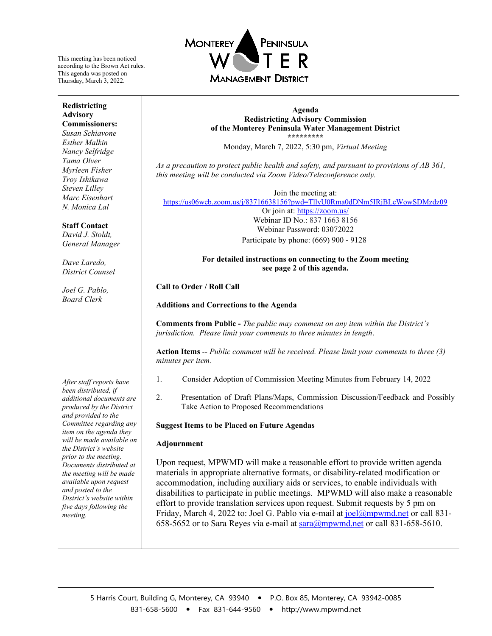This meeting has been noticed according to the Brown Act rules. This agenda was posted on Thursday, March 3, 2022.

#### **Redistricting Advisory Commissioners:**

*Susan Schiavone Esther Malkin Nancy Selfridge Tama Olver Myrleen Fisher Troy Ishikawa Steven Lilley Marc Eisenhart N. Monica Lal*

#### **Staff Contact**

*David J. Stoldt, General Manager*

*Dave Laredo, District Counsel*

*Joel G. Pablo, Board Clerk*

*After staff reports have been distributed, if additional documents are produced by the District and provided to the Committee regarding any item on the agenda they will be made available on the District's website prior to the meeting. Documents distributed at the meeting will be made available upon request and posted to the District's website within five days following the meeting.*



**Agenda Redistricting Advisory Commission of the Monterey Peninsula Water Management District \*\*\*\*\*\*\*\*\***

Monday, March 7, 2022, 5:30 pm, *Virtual Meeting*

*As a precaution to protect public health and safety, and pursuant to provisions of AB 361, this meeting will be conducted via Zoom Video/Teleconference only.* 

Join the meeting at: <https://us06web.zoom.us/j/83716638156?pwd=TllyU0Rma0dDNm5IRjBLeWowSDMzdz09>

Or join at:<https://zoom.us/> Webinar ID No.: 837 1663 8156 Webinar Password: 03072022 Participate by phone: (669) 900 - 9128

### **For detailed instructions on connecting to the Zoom meeting see page 2 of this agenda.**

### **Call to Order / Roll Call**

**Additions and Corrections to the Agenda**

**Comments from Public -** *The public may comment on any item within the District's jurisdiction. Please limit your comments to three minutes in length*.

**Action Items** -- *Public comment will be received. Please limit your comments to three (3) minutes per item.* 

- 1. Consider Adoption of Commission Meeting Minutes from February 14, 2022
- 2. Presentation of Draft Plans/Maps, Commission Discussion/Feedback and Possibly Take Action to Proposed Recommendations

#### **Suggest Items to be Placed on Future Agendas**

#### **Adjournment**

Upon request, MPWMD will make a reasonable effort to provide written agenda materials in appropriate alternative formats, or disability-related modification or accommodation, including auxiliary aids or services, to enable individuals with disabilities to participate in public meetings. MPWMD will also make a reasonable effort to provide translation services upon request. Submit requests by 5 pm on Friday, March 4, 2022 to: Joel G. Pablo via e-mail a[t joel@mpwmd.net](mailto:joel@mpwmd.net) or call 831- 658-5652 or to Sara Reyes via e-mail at [sara@mpwmd.net](mailto:sara@mpwmd.net) or call 831-658-5610.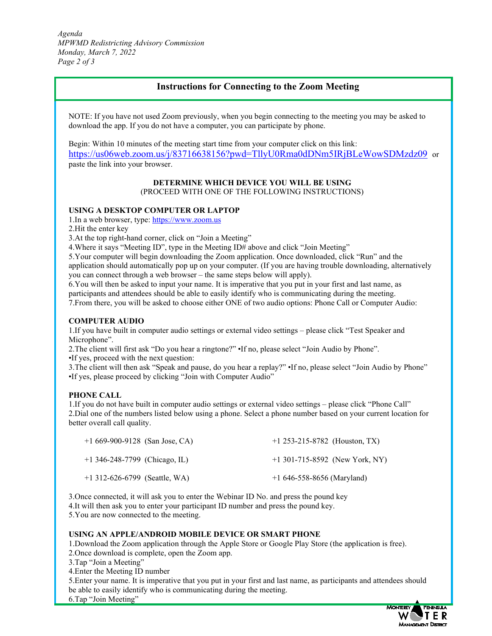*Agenda MPWMD Redistricting Advisory Commission Monday, March 7, 2022 Page 2 of 3*

# **Instructions for Connecting to the Zoom Meeting**

NOTE: If you have not used Zoom previously, when you begin connecting to the meeting you may be asked to download the app. If you do not have a computer, you can participate by phone.

Begin: Within 10 minutes of the meeting start time from your computer click on this link: <https://us06web.zoom.us/j/83716638156?pwd=TllyU0Rma0dDNm5IRjBLeWowSDMzdz09> or paste the link into your browser.

# **DETERMINE WHICH DEVICE YOU WILL BE USING**

(PROCEED WITH ONE OF THE FOLLOWING INSTRUCTIONS)

#### **USING A DESKTOP COMPUTER OR LAPTOP**

1. In a web browser, type: https://www.zoom.us

2.Hit the enter key

3.At the top right-hand corner, click on "Join a Meeting"

4.Where it says "Meeting ID", type in the Meeting ID# above and click "Join Meeting"

5.Your computer will begin downloading the Zoom application. Once downloaded, click "Run" and the application should automatically pop up on your computer. (If you are having trouble downloading, alternatively you can connect through a web browser – the same steps below will apply).

6.You will then be asked to input your name. It is imperative that you put in your first and last name, as participants and attendees should be able to easily identify who is communicating during the meeting. 7.From there, you will be asked to choose either ONE of two audio options: Phone Call or Computer Audio:

#### **COMPUTER AUDIO**

1.If you have built in computer audio settings or external video settings – please click "Test Speaker and Microphone".

2.The client will first ask "Do you hear a ringtone?" •If no, please select "Join Audio by Phone". •If yes, proceed with the next question:

3.The client will then ask "Speak and pause, do you hear a replay?" •If no, please select "Join Audio by Phone" •If yes, please proceed by clicking "Join with Computer Audio"

### **PHONE CALL**

1.If you do not have built in computer audio settings or external video settings – please click "Phone Call" 2.Dial one of the numbers listed below using a phone. Select a phone number based on your current location for better overall call quality.

| $+1669-900-9128$ (San Jose, CA) | $+1$ 253-215-8782 (Houston, TX)  |
|---------------------------------|----------------------------------|
| $+1$ 346-248-7799 (Chicago, IL) | $+1$ 301-715-8592 (New York, NY) |
| $+1$ 312-626-6799 (Seattle, WA) | $+1646-558-8656$ (Maryland)      |

3.Once connected, it will ask you to enter the Webinar ID No. and press the pound key 4.It will then ask you to enter your participant ID number and press the pound key.

5.You are now connected to the meeting.

#### **USING AN APPLE/ANDROID MOBILE DEVICE OR SMART PHONE**

1.Download the Zoom application through the Apple Store or Google Play Store (the application is free).

- 2.Once download is complete, open the Zoom app.
- 3.Tap "Join a Meeting"
- 4.Enter the Meeting ID number

5.Enter your name. It is imperative that you put in your first and last name, as participants and attendees should be able to easily identify who is communicating during the meeting. 6.Tap "Join Meeting"